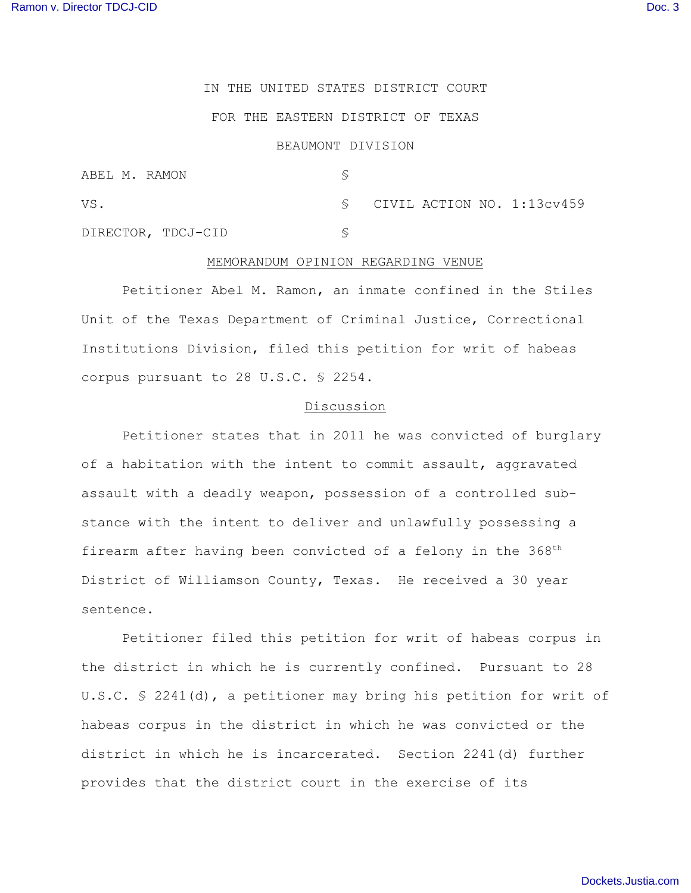# IN THE UNITED STATES DISTRICT COURT

#### FOR THE EASTERN DISTRICT OF TEXAS

## BEAUMONT DIVISION

| ABEL M. RAMON      |                                              |
|--------------------|----------------------------------------------|
| VS.                | $\textcircled{s}$ CIVIL ACTION NO. 1:13cv459 |
| DIRECTOR, TDCJ-CID |                                              |

### MEMORANDUM OPINION REGARDING VENUE

Petitioner Abel M. Ramon, an inmate confined in the Stiles Unit of the Texas Department of Criminal Justice, Correctional Institutions Division, filed this petition for writ of habeas corpus pursuant to 28 U.S.C. § 2254.

### Discussion

Petitioner states that in 2011 he was convicted of burglary of a habitation with the intent to commit assault, aggravated assault with a deadly weapon, possession of a controlled substance with the intent to deliver and unlawfully possessing a firearm after having been convicted of a felony in the 368<sup>th</sup> District of Williamson County, Texas. He received a 30 year sentence.

Petitioner filed this petition for writ of habeas corpus in the district in which he is currently confined. Pursuant to 28 U.S.C. § 2241(d), a petitioner may bring his petition for writ of habeas corpus in the district in which he was convicted or the district in which he is incarcerated. Section 2241(d) further provides that the district court in the exercise of its